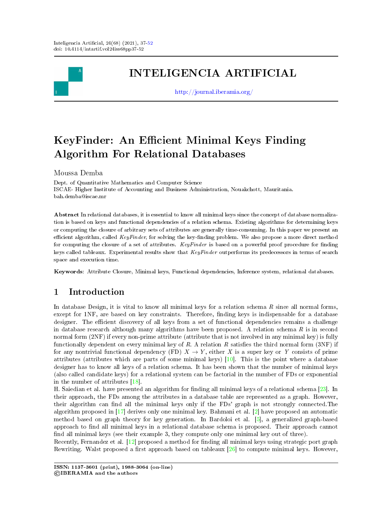

# INTELIGENCIA ARTIFICIAL

<http://journal.iberamia.org/>

# KeyFinder: An Efficient Minimal Keys Finding Algorithm For Relational Databases

Moussa Demba

Dept. of Quantitative Mathematics and Computer Science ISCAE- Higher Institute of Accounting and Business Administration, Nouakchott, Mauritania. bah.demba@iscae.mr

Abstract In relational databases, it is essential to know all minimal keys since the concept of database normalization is based on keys and functional dependencies of a relation schema. Existing algorithms for determining keys or computing the closure of arbitrary sets of attributes are generally time-consuming. In this paper we present an efficient algorithm, called  $KeuFinder$ , for solving the key-finding problem. We also propose a more direct method for computing the closure of a set of attributes.  $KeyFinder$  is based on a powerful proof procedure for finding keys called tableaux. Experimental results show that KeyFinder outperforms its predecessors in terms of search space and execution time.

Keywords: Attribute Closure, Minimal keys, Functional dependencies, Inference system, relational databases.

## 1 Introduction

In database Design, it is vital to know all minimal keys for a relation schema  $R$  since all normal forms, except for 1NF, are based on key constraints. Therefore, finding keys is indispensable for a database designer. The efficient discovery of all keys from a set of functional dependencies remains a challenge in database research although many algorithms have been proposed. A relation schema  $R$  is in second normal form  $(2NF)$  if every non-prime attribute (attribute that is not involved in any minimal key) is fully functionally dependent on every minimal key of R. A relation R satisfies the third normal form  $(3NF)$  if for any nontrivial functional dependency (FD)  $X \to Y$ , either X is a super key or Y consists of prime attributes (attributes which are parts of some minimal keys) [\[10\]](#page-13-0). This is the point where a database designer has to know all keys of a relation schema. It has been shown that the number of minimal keys (also called candidate keys) for a relational system can be factorial in the number of FDs or exponential in the number of attributes [\[18\]](#page-14-0).

H. Saiedian et al. have presented an algorithm for finding all minimal keys of a relational schema  $[23]$ . In their approach, the FDs among the attributes in a database table are represented as a graph. However, their algorithm can find all the minimal keys only if the FDs' graph is not strongly connected. The algorithm proposed in [\[17\]](#page-14-2) derives only one minimal key. Bahmani et al. [\[2\]](#page-13-1) have proposed an automatic method based on graph theory for key generation. In Bardoloi et al. [\[5\]](#page-13-2), a generalized graph-based approach to find all minimal keys in a relational database schema is proposed. Their approach cannot find all minimal keys (see their example 3, they compute only one minimal key out of three).

Recently, Fernandez et al. [\[12\]](#page-14-3) proposed a method for finding all minimal keys using strategic port graph Rewriting. Walst proposed a first approach based on tableaux  $[26]$  to compute minimal keys. However,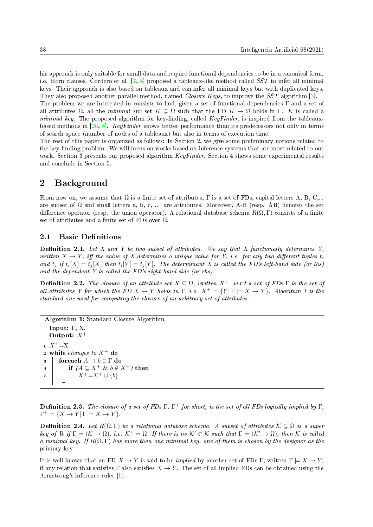his approach is only suitable for small data and require functional dependencies to be in a canonical form, i.e. Horn clauses. Cordero et al. [\[7,](#page-13-3) [8\]](#page-13-4) proposed a tableaux-like method called SST to infer all minimal keys. Their approach is also based on tableaux and can infer all minimal keys but with duplicated keys. They also proposed another parallel method, named Closure Keys, to improve the SST algorithm [\[3\]](#page-13-5).

The problem we are interested in consists to find, given a set of functional dependencies  $\Gamma$  and a set of all attributes  $\Omega$ , all the minimal sub-set  $K \subseteq \Omega$  such that the FD  $K \to \Omega$  holds in Γ. K is called a minimal key. The proposed algorithm for key-finding, called  $KeyFinder$ , is inspired from the tableaux-based methods in [\[26,](#page-14-4) [8\]](#page-13-4). KeyFinder shows better performance than its predecessors not only in terms of search space (number of nodes of a tableaux) but also in terms of execution time.

The rest of this paper is organized as follows: In Section 2, we give some preliminary notions related to the key-finding problem. We will focus on works based on inference systems that are most related to our work. Section 3 presents our proposed algorithm KeyFinder. Section 4 shows some experimental results and conclude in Section 5.

## 2 Background

From now on, we assume that  $\Omega$  is a finite set of attributes,  $\Gamma$  is a set of FDs, capital letters A, B, C,... are subset of  $\Omega$  and small letters a, b, c, ... are attributes. Moreover, A-B (resp. AB) denotes the set difference operator (resp. the union operator). A relational database schema  $R(\Omega, \Gamma)$  consists of a finite set of attributes and a finite set of FDs over  $\Omega$ .

#### <span id="page-1-1"></span>2.1 Basic Definitions

**Definition 2.1.** Let X and Y be two subset of attributes. We say that X functionally determines Y, written  $X \to Y$ , iff the value of X determines a unique value for Y, i.e. for any two different tuples  $t_i$ and  $t_j$  if  $t_i[X] = t_j[X]$  then  $t_i[Y] = t_j[Y]$ . The determinant X is called the FD's left-hand side (or lhs) and the dependent Y is called the FD's right-hand side (or rhs).

**Definition 2.2.** The closure of an attribute set  $X \subseteq \Omega$ , written  $X^+$ , w.r.t a set of FDs  $\Gamma$  is the set of all attributes Y for which the FD  $X \to Y$  holds in  $\Gamma$ , i.e.  $X^+ = \{Y | \Gamma \models X \to Y\}$ . Algorithm [1](#page-1-0) is the standard one used for computing the closure of an arbitrary set of attributes.

Algorithm 1: Standard Closure Algorithm. Input: Γ, X. Output:  $X^+$  $1 X^+= X$ 2 while *changes to*  $X^+$  do 3 | foreach  $A \to b \in \Gamma$  do 4 if  $(A \subseteq X^+ \& b \notin X^+)$  then 5  $\vert \ \ \vert \ X^+=X^+\cup \{b\}$ 

<span id="page-1-0"></span>**Definition 2.3.** The closure of a set of FDs  $\Gamma$ ,  $\Gamma^+$  for short, is the set of all FDs logically implied by  $\Gamma$ ,  $\Gamma^+ = \{ X \to Y | \Gamma \models X \to Y \}.$ 

**Definition 2.4.** Let  $R(\Omega, \Gamma)$  be a relational database schema. A subset of attributes  $\mathcal{K} \subseteq \Omega$  is a super key of R if  $\Gamma \models (\mathcal{K} \to \Omega)$ , i.e.  $\mathcal{K}^+ = \Omega$ . If there is no  $\mathcal{K}' \subset \mathcal{K}$  such that  $\Gamma \models (\mathcal{K}' \to \Omega)$ , then K is called a minimal key. If  $R(\Omega, \Gamma)$  has more than one minimal key, one of them is chosen by the designer as the primary key.

It is well known that an FD  $X \to Y$  is said to be *implied* by another set of FDs Γ, written  $\Gamma \models X \to Y$ , if any relation that satisfies  $\Gamma$  also satisfies  $X \to Y$ . The set of all implied FDs can be obtained using the Armstrong's inference rules [\[1\]](#page-13-6):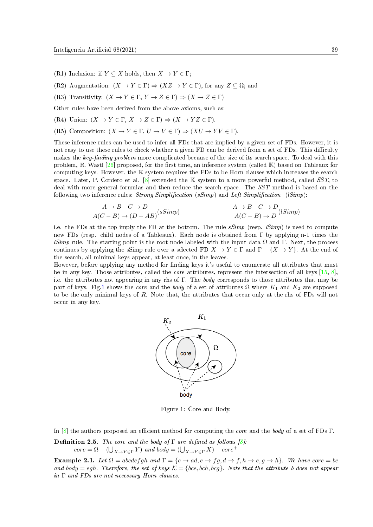- (R1) Inclusion: if  $Y \subseteq X$  holds, then  $X \to Y \in \Gamma$ ;
- (R2) Augmentation:  $(X \to Y \in \Gamma) \Rightarrow (XZ \to Y \in \Gamma)$ , for any  $Z \subseteq \Omega$ ; and
- (R3) Transitivity:  $(X \to Y \in \Gamma, Y \to Z \in \Gamma) \Rightarrow (X \to Z \in \Gamma)$
- Other rules have been derived from the above axioms, such as:
- (R4) Union:  $(X \to Y \in \Gamma, X \to Z \in \Gamma) \Rightarrow (X \to YZ \in \Gamma)$ .
- (R5) Composition:  $(X \to Y \in \Gamma, U \to V \in \Gamma) \Rightarrow (XU \to YV \in \Gamma)$ .

These inference rules can be used to infer all FDs that are implied by a given set of FDs. However, it is not easy to use these rules to check whether a given FD can be derived from a set of FDs. This difficulty makes the key-finding problem more complicated because of the size of its search space. To deal with this problem, R. Wastl  $[26]$  proposed, for the first time, an inference system (called K) based on Tableaux for computing keys. However, the K system requires the FDs to be Horn clauses which increases the search space. Later, P. Cordero et al.  $[8]$  extended the K system to a more powerful method, called SST, to deal with more general formulas and then reduce the search space. The SST method is based on the following two inference rules: Strong Simplification  $(sSimp)$  and Left Simplification  $(lSimp)$ :

$$
\frac{A \to B \quad C \to D}{A(C - B) \to (D - AB)} (sSimp) \qquad \frac{A \to B \quad C \to D}{A(C - B) \to D} (lSimp)
$$

i.e. the FDs at the top imply the FD at the bottom. The rule  $sSimp$  (resp.  $lSimp$ ) is used to compute new FDs (resp. child nodes of a Tableaux). Each node is obtained from Γ by applying n-1 times the *lSimp* rule. The starting point is the root node labeled with the input data  $\Omega$  and Γ. Next, the process continues by applying the sSimp rule over a selected FD  $X \to Y \in \Gamma$  and  $\Gamma - \{X \to Y\}$ . At the end of the search, all minimal keys appear, at least once, in the leaves.

<span id="page-2-0"></span>However, before applying any method for finding keys it's useful to enumerate all attributes that must be in any key. Those attributes, called the core attributes, represent the intersection of all keys [\[15,](#page-14-5) [8\]](#page-13-4), i.e. the attributes not appearing in any rhs of Γ. The body corresponds to those attributes that may be part of keys. Fig[.1](#page-2-0) shows the *core* and the *body* of a set of attributes  $\Omega$  where  $K_1$  and  $K_2$  are supposed to be the only minimal keys of R. Note that, the attributes that occur only at the rhs of FDs will not occur in any key.



Figure 1: Core and Body.

In [\[8\]](#page-13-4) the authors proposed an efficient method for computing the *core* and the body of a set of FDs Γ.

**Definition 2.5.** The core and the body of  $\Gamma$  are defined as follows [\[8\]](#page-13-4).  $\textit{core} = \Omega - (\bigcup_{X \to Y \in \Gamma} Y) \textit{ and body} = (\bigcup_{X \to Y \in \Gamma} X) - \textit{core}^+$ 

**Example 2.1.** Let  $\Omega = abcdefgh$  and  $\Gamma = \{c \to ad, e \to fg, d \to f, h \to e, g \to h\}$ . We have core = bc and body = egh. Therefore, the set of keys  $\mathcal{K} = \{bce, bch, bcg\}$ . Note that the attribute b does not appear in Γ and FDs are not necessary Horn clauses.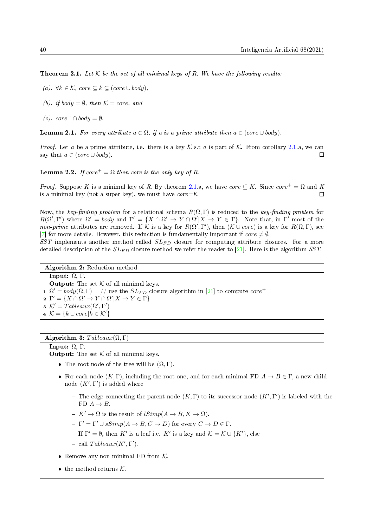<span id="page-3-0"></span>**Theorem 2.1.** Let  $K$  be the set of all minimal keys of R. We have the following results:

- (a).  $\forall k \in \mathcal{K}$ , core  $\subseteq k \subseteq (core \cup body)$ ,
- (b). if body =  $\emptyset$ , then  $\mathcal{K} = core$ , and
- $(c)$ . core<sup>+</sup> ∩ bodu =  $\emptyset$ .

**Lemma 2.1.** For every attribute  $a \in \Omega$ , if a is a prime attribute then  $a \in (core \cup body)$ .

*Proof.* Let a be a prime attribute, i.e. there is a key  $K$  s.t a is part of  $K$ . From corollary [2.1.](#page-3-0)a, we can say that  $a \in (core \cup body)$ .  $\Box$ 

**Lemma 2.2.** If  $core^+ = \Omega$  then core is the only key of R.

*Proof.* Suppose K is a minimal key of R. By theorem [2.1.](#page-3-0)a, we have core  $\subset K$ . Since core  $\neq \Omega$  and K is a minimal key (not a super key), we must have  $core=K$ .  $\Box$ 

Now, the key-finding problem for a relational schema  $R(\Omega, \Gamma)$  is reduced to the key-finding problem for  $R(\Omega', \Gamma')$  where  $\Omega' = body$  and  $\Gamma' = \{X \cap \Omega' \to Y \cap \Omega'| X \to Y \in \Gamma\}$ . Note that, in  $\Gamma'$  most of the non-prime attributes are removed. If K is a key for  $R(\Omega', \Gamma')$ , then  $(K \cup core)$  is a key for  $R(\Omega, \Gamma)$ , see [\[7\]](#page-13-3) for more details. However, this reduction is fundamentally important if  $\text{core} \neq \emptyset$ .

SST implements another method called  $SL_{FD}$  closure for computing attribute closures. For a more detailed description of the  $SL_{FD}$  closure method we refer the reader to [\[21\]](#page-14-6). Here is the algorithm SST.

Algorithm 2: Reduction method Input: Ω, Γ. **Output:** The set  $K$  of all minimal keys.  $\Omega \Omega' = body(\Omega, \Gamma) \quad //$  use the  $SL_{FD}$  closure algorithm in [\[21\]](#page-14-6) to compute  $core^+$ 2  $\Gamma' = \{ X \cap \Omega' \to Y \cap \Omega' | X \to Y \in \Gamma \}$ s  $\mathcal{K}' = Tableaux(\Omega', \Gamma')$  $4 \mathcal{K} = \{k \cup core | k \in \mathcal{K}'\}$ 

#### Algorithm 3:  $Tableaux(\Omega, \Gamma)$

## Input: Ω, Γ.

**Output:** The set  $K$  of all minimal keys.

- The root node of the tree will be  $(\Omega, \Gamma)$ .
- For each node  $(K, \Gamma)$ , including the root one, and for each minimal FD  $A \to B \in \Gamma$ , a new child node  $(K', \Gamma')$  is added where
	- The edge connecting the parent node  $(K,\Gamma)$  to its successor node  $(K',\Gamma')$  is labeled with the FD  $A \rightarrow B$ .
	- $K' \to \Omega$  is the result of  $lSimp(A \to B, K \to \Omega)$ .
	- $-\Gamma' = \Gamma' \cup sSimp(A \to B, C \to D)$  for every  $C \to D \in \Gamma$ .
	- If  $\Gamma' = \emptyset$ , then K' is a leaf i.e. K' is a key and  $\mathcal{K} = \mathcal{K} \cup \{K'\}$ , else
	- call  $Tableaux(K', \Gamma').$
- Remove any non minimal FD from  $K$ .
- $\bullet\,$  the method returns  ${\cal K}.$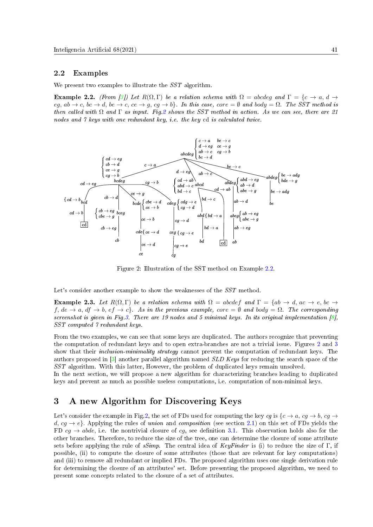#### 2.2 Examples

We present two examples to illustrate the  $SST$  algorithm.

<span id="page-4-1"></span>**Example 2.2.** (From [\[3\]](#page-13-5)) Let  $R(\Omega, \Gamma)$  be a relation schema with  $\Omega =$  abcdeg and  $\Gamma = \{c \rightarrow a, d \rightarrow c\}$  $eg, ab \rightarrow c, bc \rightarrow d, be \rightarrow c, ce \rightarrow g, cg \rightarrow b$ . In this case, core = Ø and body =  $\Omega$ . The SST method is then called with  $\Omega$  and  $\Gamma$  as input. Fig[.2](#page-4-0) shows the SST method in action. As we can see, there are 21 nodes and 7 keys with one redundant key, i.e. the key cd is calculated twice.

<span id="page-4-0"></span>

Figure 2: Illustration of the SST method on Example [2.2.](#page-4-1)

Let's consider another example to show the weaknesses of the  $SST$  method.

<span id="page-4-2"></span>Example 2.3. Let  $R(\Omega, \Gamma)$  be a relation schema with  $\Omega = abcdef$  and  $\Gamma = \{ab \rightarrow d, ac \rightarrow e, bc \rightarrow e\}$ f,  $de \rightarrow a$ ,  $df \rightarrow b$ ,  $ef \rightarrow c$ . As in the previous example,  $core = \emptyset$  and  $body = \Omega$ . The corresponding screenshot is given in Fig. 3. There are 19 nodes and 5 minimal keys. In its original implementation  $\lceil \mathcal{S} \rceil$ , SST computed 7 redundant keys.

From the two examples, we can see that some keys are duplicated. The authors recognize that preventing the computation of redundant keys and to open extra-branches are not a trivial issue. Figures [2](#page-4-0) and [3](#page-5-0) show that their *inclusion-minimality strategy* cannot prevent the computation of redundant keys. The authors proposed in [\[3\]](#page-13-5) another parallel algorithm named SLD Keys for reducing the search space of the SST algorithm. With this latter, However, the problem of duplicated keys remain unsolved.

In the next section, we will propose a new algorithm for characterizing branches leading to duplicated keys and prevent as much as possible useless computations, i.e. computation of non-minimal keys.

#### 3 A new Algorithm for Discovering Keys

Let's consider the example in Fig[.2,](#page-4-0) the set of FDs used for computing the key cq is  $\{c \rightarrow a, cq \rightarrow b, cq \rightarrow$ d,  $cq \rightarrow e$ . Applying the rules of union and composition (see section [2.1\)](#page-1-1) on this set of FDs yields the FD  $cg \rightarrow abde$ , i.e. the nontrivial closure of cg, see definition [3.1.](#page-5-1) This observation holds also for the other branches. Therefore, to reduce the size of the tree, one can determine the closure of some attribute sets before applying the rule of sSimp. The central idea of KeyFinder is (i) to reduce the size of Γ, if possible, (ii) to compute the closure of some attributes (those that are relevant for key computations) and (iii) to remove all redundant or implied FDs. The proposed algorithm uses one single derivation rule for determining the closure of an attributes' set. Before presenting the proposed algorithm, we need to present some concepts related to the closure of a set of attributes.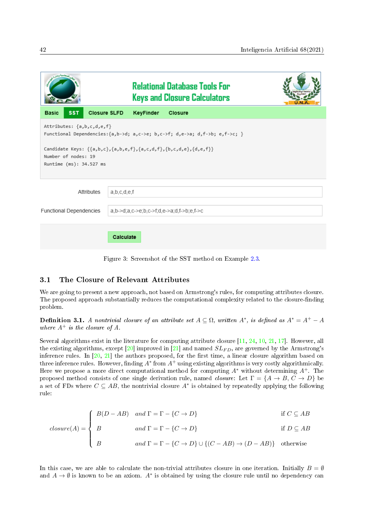<span id="page-5-0"></span>

|                                                                                                                                                                                                                                                                             | <b>Relational Database Tools For</b><br><b>Keys and Closure Calculators</b> |  |  |  |  |  |  |
|-----------------------------------------------------------------------------------------------------------------------------------------------------------------------------------------------------------------------------------------------------------------------------|-----------------------------------------------------------------------------|--|--|--|--|--|--|
| <b>SST</b><br><b>Basic</b>                                                                                                                                                                                                                                                  | <b>Closure SLFD</b><br>KeyFinder<br><b>Closure</b>                          |  |  |  |  |  |  |
| Attributes: {a,b,c,d,e,f}<br>Functional Dependencies: $\{a,b-\lambda d; a,c-\lambda e; b,c-\lambda f; d,e-\lambda a; d,f-\lambda b; e,f-\lambda c; \}$<br>Candidate Keys: {{a,b,c},{a,b,e,f},{a,c,d,f},{b,c,d,e},{d,e,f}}<br>Number of nodes: 19<br>Runtime (ms): 34.527 ms |                                                                             |  |  |  |  |  |  |
| Attributes                                                                                                                                                                                                                                                                  | a,b,c,d,e,f                                                                 |  |  |  |  |  |  |
| Functional Dependencies<br>$a,b > d$ ; $a,c > e$ ; $b,c > f$ ; $d,e > a$ ; $d,f > b$ ; $e,f > c$                                                                                                                                                                            |                                                                             |  |  |  |  |  |  |
|                                                                                                                                                                                                                                                                             | Calculate                                                                   |  |  |  |  |  |  |

Figure 3: Screenshot of the SST method on Example [2.3.](#page-4-2)

#### 3.1 The Closure of Relevant Attributes

We are going to present a new approach, not based on Armstrong's rules, for computing attributes closure. The proposed approach substantially reduces the computational complexity related to the closure-finding problem.

<span id="page-5-1"></span>**Definition 3.1.** A nontrivial closure of an attribute set  $A \subseteq \Omega$ , written  $A^*$ , is defined as  $A^* = A^+ - A$ where  $A^+$  is the closure of A.

Several algorithms exist in the literature for computing attribute closure [\[11,](#page-13-7) [24,](#page-14-7) [10,](#page-13-0) [21,](#page-14-6) [17\]](#page-14-2). However, all the existing algorithms, except  $[20]$  improved in  $[21]$  and named  $SL_{FD}$ , are governed by the Armstrong's inference rules. In  $[20, 21]$  $[20, 21]$  $[20, 21]$  the authors proposed, for the first time, a linear closure algorithm based on three inference rules. However, finding  $A^*$  from  $A^+$  using existing algorithms is very costly algorithmically. Here we propose a more direct computational method for computing  $A^*$  without determining  $A^+$ . The proposed method consists of one single derivation rule, named *closure*: Let  $\Gamma = \{A \rightarrow B, C \rightarrow D\}$  be a set of FDs where  $C \subseteq AB$ , the nontrivial closure  $A^*$  is obtained by repeatedly applying the following rule:

$$
closure(A) = \begin{cases} B(D - AB) & and \Gamma = \Gamma - \{C \to D\} & \text{if } C \subseteq AB \\ B & and \Gamma = \Gamma - \{C \to D\} & \text{if } D \subseteq AB \end{cases}
$$

$$
and \Gamma = \Gamma - \{C \to D\} \cup \{ (C - AB) \to (D - AB) \} \quad \text{otherwise}
$$

In this case, we are able to calculate the non-trivial attributes closure in one iteration. Initially  $B = \emptyset$ and  $A \to \emptyset$  is known to be an axiom.  $A^*$  is obtained by using the closure rule until no dependency can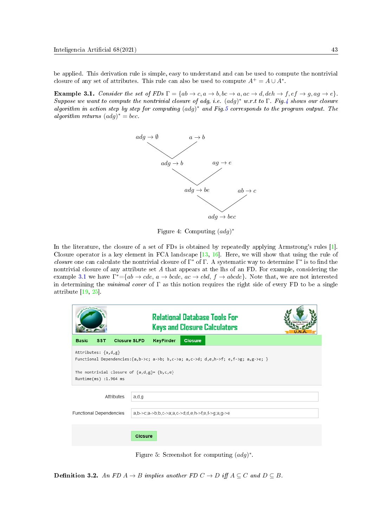be applied. This derivation rule is simple, easy to understand and can be used to compute the nontrivial closure of any set of attributes. This rule can also be used to compute  $A^+ = A \cup A^*$ .

<span id="page-6-2"></span><span id="page-6-0"></span>**Example 3.1.** Consider the set of FDs  $\Gamma = \{ab \to c, a \to b, bc \to a, ac \to d, deh \to f, ef \to g, ag \to e\}.$ Suppose we want to compute the nontrivial closure of adg, i.e.  $(\text{ad}g)^*$  w.r.t to  $\Gamma$ . Fig[.4](#page-6-0) shows our closure algorithm in action step by step for computing  $(adg)^*$  and Fig[.5](#page-6-1) corresponds to the program output. The algorithm returns  $(adg)^* = bec$ .



Figure 4: Computing  $(adg)^*$ 

In the literature, the closure of a set of FDs is obtained by repeatedly applying Armstrong's rules [\[1\]](#page-13-6). Closure operator is a key element in FCA landscape [\[13,](#page-14-9) [16\]](#page-14-10). Here, we will show that using the rule of closure one can calculate the nontrivial closure of  $\Gamma^*$  of  $\Gamma$ . A systematic way to determine  $\Gamma^*$  is to find the nontrivial closure of any attribute set A that appears at the lhs of an FD. For example, considering the example [3.1](#page-6-2) we have  $\Gamma^* = \{ab \to cde, a \to bcde, ac \to ebd, f \to abcde\}.$  Note that, we are not interested in determining the *minimal cover* of  $\Gamma$  as this notion requires the right side of every FD to be a single attribute [\[19,](#page-14-11) [25\]](#page-14-12).

<span id="page-6-1"></span>

|                                                                                                                                                                                              | <b>Relational Database Tools For</b><br><b>Keys and Closure Calculators</b> |  |  |  |  |  |
|----------------------------------------------------------------------------------------------------------------------------------------------------------------------------------------------|-----------------------------------------------------------------------------|--|--|--|--|--|
| <b>Closure SLFD</b><br><b>SST</b><br><b>Basic</b>                                                                                                                                            | <b>KeyFinder</b><br><b>Closure</b>                                          |  |  |  |  |  |
| Attributes: {a,d,g}<br>Functional Dependencies: {a,b->c; a->b; b,c->a; a,c->d; d,e,h->f; e,f->g; a,g->e; }<br>The nontrivial closure of $\{a,d,g\}$ = $\{b,c,e\}$<br>$Runtime(ms)$ :1.964 ms |                                                                             |  |  |  |  |  |
| Attributes                                                                                                                                                                                   | a,d,g                                                                       |  |  |  |  |  |
| <b>Functional Dependencies</b>                                                                                                                                                               | $a,b > c$ ; a->b; b, c->a; a, c->d; d, e, h->f; e, f->g; a, g->e            |  |  |  |  |  |
|                                                                                                                                                                                              | <b>Closure</b>                                                              |  |  |  |  |  |

Figure 5: Screenshot for computing  $(adg)^*$ .

<span id="page-6-3"></span>**Definition 3.2.** An FD  $A \rightarrow B$  implies another FD  $C \rightarrow D$  iff  $A \subseteq C$  and  $D \subseteq B$ .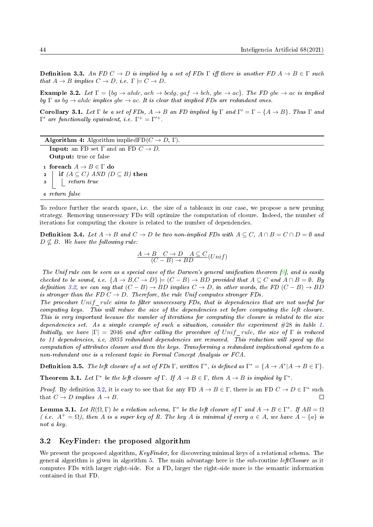**Definition 3.3.** An FD  $C \to D$  is implied by a set of FDs  $\Gamma$  iff there is another FD  $A \to B \in \Gamma$  such that  $A \to B$  implies  $C \to D$ , i.e.  $\Gamma \models C \to D$ .

**Example 3.2.** Let  $\Gamma = \{bq \rightarrow ahdc, aeh \rightarrow bcdq, qaf \rightarrow bch, qbe \rightarrow ac\}$ . The FD gbe  $\rightarrow ac$  is implied by  $\Gamma$  as bq  $\rightarrow$  ahdc implies gbe  $\rightarrow$  ac. It is clear that implied FDs are redundant ones.

Corollary 3.1. Let  $\Gamma$  be a set of FDs,  $A \to B$  an FD implied by  $\Gamma$  and  $\Gamma' = \Gamma - \{A \to B\}$ . Thus  $\Gamma$  and  $\Gamma'$  are functionally equivalent, i.e.  $\Gamma^+ = \Gamma'^+$ .

**Algorithm 4:** Algorithm implied $FD(C \rightarrow D, \Gamma)$ . **Input:** an FD set  $\Gamma$  and an FD  $C \rightarrow D$ . Output: true or false 1 foreach  $A \to B \in \Gamma$  do 2 if  $(A \subseteq C)$  AND  $(D \subseteq B)$  then 3 return true <sup>4</sup> return false

To reduce further the search space, i.e. the size of a tableaux in our case, we propose a new pruning strategy. Removing unnecessary FDs will optimize the computation of closure. Indeed, the number of iterations for computing the closure is related to the number of dependencies.

<span id="page-7-0"></span>**Definition 3.4.** Let  $A \rightarrow B$  and  $C \rightarrow D$  be two non-implied FDs with  $A \subseteq C$ ,  $A \cap B = C \cap D = \emptyset$  and  $D \nsubseteq B$ . We have the following rule:

$$
\frac{A \to B \quad C \to D \quad A \subseteq C}{(C-B) \to BD} (Unif)
$$

The Unif rule can be seen as a special case of the Darwen's general unification theorem  $[9]$ , and is easily checked to be sound, i.e.  $\{A \rightarrow B, C \rightarrow D\} \models (C - B) \rightarrow BD$  provided that  $A \subseteq C$  and  $A \cap B = \emptyset$ . By definition [3.2,](#page-6-3) we can say that  $(C - B) \to BD$  implies  $C \to D$ , in other words, the FD  $(C - B) \to BD$ is stronger than the FD  $C \rightarrow D$ . Therefore, the rule Unif computes stronger FDs.

The procedure Unif rule aims to filter unnecessary FDs, that is dependencies that are not useful for computing keys. This will reduce the size of the dependencies set before computing the left closure. This is very important because the number of iterations for computing the closure is related to the size dependencies set. As a simple example of such a situation, consider the experiment #28 in table [1.](#page-15-1) Initially, we have  $|\Gamma| = 2046$  and after calling the procedure of Unif rule, the size of Γ is reduced to 11 dependencies, i.e, 2035 redundant dependencies are removed. This reduction will speed up the computation of attributes closure and then the keys. Transforming a redundant implicational system to a non-redundant one is a relevant topic in Formal Concept Analysis or FCA.

<span id="page-7-1"></span>**Definition 3.5.** The left closure of a set of FDs  $\Gamma$ , written  $\Gamma^*$ , is defined as  $\Gamma^* = \{A \to A^* | A \to B \in \Gamma\}$ .

**Theorem 3.1.** Let  $\Gamma^*$  be the left closure of  $\Gamma$ . If  $A \to B \in \Gamma$ , then  $A \to B$  is implied by  $\Gamma^*$ .

*Proof.* By definition [3.2,](#page-6-3) it is easy to see that for any FD  $A \to B \in \Gamma$ , there is an FD  $C \to D \in \Gamma^*$  such that  $C \rightarrow D$  implies  $A \rightarrow B$ .  $\Box$ 

<span id="page-7-2"></span>**Lemma 3.1.** Let  $R(\Omega, \Gamma)$  be a relation schema,  $\Gamma^*$  be the left closure of  $\Gamma$  and  $A \to B \in \Gamma^*$ . If  $AB = \Omega$ ( i.e.  $A^+ = \Omega$ ), then A is a super key of R. The key A is minimal if every  $a \in A$ , we have  $A - \{a\}$  is not a key.

#### 3.2 KeyFinder: the proposed algorithm

We present the proposed algorithm, KeyFinder, for discovering minimal keys of a relational schema. The general algorithm is given in algorithm  $5$ . The main advantage here is the sub-routine *leftClosure* as it computes FDs with larger right-side. For a FD, larger the right-side more is the semantic information contained in that FD.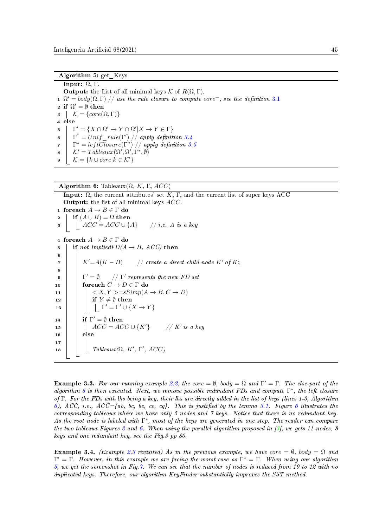Algorithm 5: get\_Keys

Input:  $Ω$ , Γ. **Output:** the List of all minimal keys  $\mathcal{K}$  of  $R(\Omega, \Gamma)$ . 1  $\Omega' = body(\Omega, \Gamma)$  // use the rule closure to compute core<sup>+</sup>, see the definition [3.1](#page-5-1) 2 if  $\Omega' = \emptyset$  then  $\mathcal{S} \mid \mathcal{K} = \{core(\Omega, \Gamma)\}\$ <sup>4</sup> else  $5 \mid \Gamma' = \{ X \cap \Omega' \to Y \cap \Omega' | X \to Y \in \Gamma \}$  $\begin{array}{ll} \mathfrak{g} & \mid & \Gamma^* = Unif\_rule(\Gamma')\! \mid \! \mid \textit{apply definition 3.4} \end{array}$  $\begin{array}{ll} \mathfrak{g} & \mid & \Gamma^* = Unif\_rule(\Gamma')\! \mid \! \mid \textit{apply definition 3.4} \end{array}$  $\begin{array}{ll} \mathfrak{g} & \mid & \Gamma^* = Unif\_rule(\Gamma')\! \mid \! \mid \textit{apply definition 3.4} \end{array}$ <sup>7</sup> Γ <sup>∗</sup> = lef tClosure(Γ") // apply denition [3.5](#page-7-1)  $\mathbf{s} \mid \mathcal{K}' = Tableaux(\Omega', \Omega', \Gamma^*, \emptyset)$  $\mathbf{9} \mid \mathcal{K} = \{k \cup core | k \in \mathcal{K}'\}$ 

```
Algorithm 6: Tableaux(\Omega, K, \Gamma, ACC)
```

```
Input: \Omega, the current attributes' set K, Γ, and the current list of super keys ACC
   Output: the list of all minimal keys ACC.
 1 foreach A \to B \in \Gamma do
 2 if (A \cup B) = \Omega then
 \begin{array}{c|c|c|c|c} \mathbf{3} & ACC = ACC \cup \{A\} & \text{if } i.e. \ A \text{ is a key} \end{array}4 foreach A \to B \in \Gamma do
 5 if not ImpliedFD(A \rightarrow B, ACC) then
 6
 7 \mid K' = A(K - B) // create a direct child node K' of K;
 8
 9 | \Gamma' = \emptyset\mathscr{C}' = \emptyset // \Gamma' represents the new FD set
10 for ach C \to D \in \Gamma do
11 | \cdot | \cdot \langle X, Y \rangle = sSimp(A \rightarrow B, C \rightarrow D)12 if Y \neq \emptyset then
13 | | | \Gamma' = \Gamma' \cup \{X \rightarrow Y\}14 if \Gamma' = \emptyset then
15 | | | ACC = ACC \cup {K'} // K' is a key
16 else
17
18 | Tableaux(\Omega, K', Γ', ACC)
```
<span id="page-8-1"></span>**Example 3.3.** For our running example [2.2,](#page-4-1) the core =  $\emptyset$ , body =  $\Omega$  and  $\Gamma' = \Gamma$ . The else-part of the algorithm [5](#page-8-0) is then executed. Next, we remove possible redundant FDs and compute  $\Gamma^*$ , the left closure of Γ. For the FDs with lhs being a key, their lhs are directly added in the list of keys (lines 1-3, Algorithm [6\)](#page-8-1), ACC, i.e., ACC={ab, bc, be, ce, cg}. This is justified by the lemma [3.1.](#page-7-2) Figure [6](#page-9-0) illustrates the corresponding tableaux where we have only 5 nodes and 7 keys. Notice that there is no redundant key. As the root node is labeled with  $\Gamma^*$ , most of the keys are generated in one step. The reader can compare the two tableaux Figures [2](#page-4-0) and [6.](#page-9-0) When using the parallel algorithm proposed in [\[3\]](#page-13-5), we gets 11 nodes, 8 keys and one redundant key, see the Fig.3 pp 80.

**Example 3.4.** (Example [2.3](#page-4-2) revisited) As in the previous example, we have core  $=\emptyset$ , body  $=\Omega$  and  $\Gamma' = \Gamma$ . However, in this example we are facing the worst-case as  $\Gamma^* = \Gamma$ . When using our algorithm [5,](#page-8-0) we get the screenshot in Fig[.7.](#page-9-1) We can see that the number of nodes is reduced from 19 to 12 with no duplicated keys. Therefore, our algorithm KeyFinder substantially improves the SST method.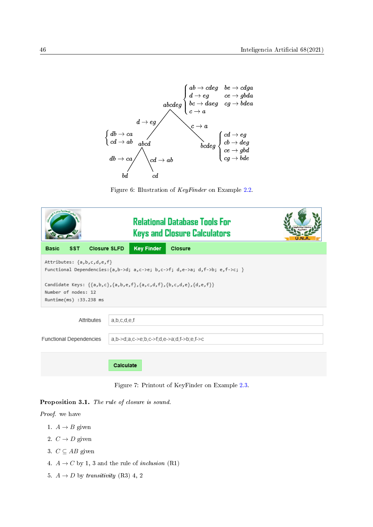<span id="page-9-0"></span>![](_page_9_Figure_1.jpeg)

Figure 6: Illustration of KeyFinder on Example [2.2.](#page-4-1)

<span id="page-9-1"></span>

|                                                                                                                                                                                                                                                                                          |            |                     |           |                   | <b>Relational Database Tools For</b><br><b>Keys and Closure Calculators</b> |  |  |
|------------------------------------------------------------------------------------------------------------------------------------------------------------------------------------------------------------------------------------------------------------------------------------------|------------|---------------------|-----------|-------------------|-----------------------------------------------------------------------------|--|--|
| <b>Basic</b>                                                                                                                                                                                                                                                                             | <b>SST</b> | <b>Closure SLFD</b> |           | <b>Key Finder</b> | Closure                                                                     |  |  |
| Attributes: {a,b,c,d,e,f}<br>Functional Dependencies: $\{a,b-\lambda d; a,c-\lambda e; b,c-\lambda f; d,e-\lambda a; d,f-\lambda b; e,f-\lambda c; \}$<br>Candidate Keys: $\{\{a,b,c\},\{a,b,e,f\},\{a,c,d,f\},\{b,c,d,e\},\{d,e,f\}\}$<br>Number of nodes: 12<br>Runtime(ms) :33.238 ms |            |                     |           |                   |                                                                             |  |  |
| a,b,c,d,e,f<br>Attributes                                                                                                                                                                                                                                                                |            |                     |           |                   |                                                                             |  |  |
| <b>Functional Dependencies</b><br>$a,b > d$ ; $a,c > e$ ; $b,c > f$ ; $d,e > a$ ; $d,f > b$ ; $e,f > c$                                                                                                                                                                                  |            |                     |           |                   |                                                                             |  |  |
|                                                                                                                                                                                                                                                                                          |            |                     | Calculate |                   |                                                                             |  |  |

Figure 7: Printout of KeyFinder on Example [2.3.](#page-4-2)

#### Proposition 3.1. The rule of closure is sound.

Proof. we have

- 1.  $A \rightarrow B$  given
- 2.  $C \rightarrow D$  given
- 3.  $C \subseteq AB$  given
- 4.  $A \rightarrow C$  by 1, 3 and the rule of *inclusion* (R1)
- 5.  $A \rightarrow D$  by transitivity (R3) 4, 2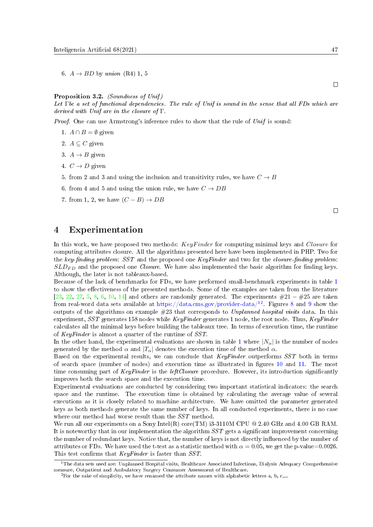6.  $A \rightarrow BD$  by union (R4) 1, 5

Proposition 3.2. (Soundness of Unif)

Let Γbe a set of functional dependencies. The rule of Unif is sound in the sense that all FDs which are derived with Unif are in the closure of Γ.

Proof. One can use Armstrong's inference rules to show that the rule of Unif is sound:

- 1.  $A \cap B = \emptyset$  given
- 2.  $A \subseteq C$  given
- 3.  $A \rightarrow B$  given
- 4.  $C \rightarrow D$  given
- 5. from 2 and 3 and using the inclusion and transitivity rules, we have  $C \rightarrow B$
- 6. from 4 and 5 and using the union rule, we have  $C \rightarrow DB$
- 7. from 1, 2, we have  $(C B) \rightarrow DB$

#### 4 Experimentation

In this work, we have proposed two methods: KeyFinder for computing minimal keys and Closure for computing attributes closure. All the algorithms presented here have been implemented in PHP. Two for the key-finding problem:  $SST$  and the proposed one  $KeyFinder$  and two for the closure-finding problem:  $SLD_{FD}$  and the proposed one *Closure*. We have also implemented the basic algorithm for finding keys. Although, the later is not tableaux-based.

Because of the lack of benchmarks for FDs, we have performed small-benchmark experiments in table [1](#page-15-1) to show the effectiveness of the presented methods. Some of the examples are taken from the literature [\[23,](#page-14-1) [22,](#page-14-13) [27,](#page-14-14) [5,](#page-13-2) [8,](#page-13-4) [6,](#page-13-9) [10,](#page-13-0) [14\]](#page-14-15) and others are randomly generated. The experiments  $\#21 - \#25$  are taken from real-word data sets available at <https://data.cms.gov/provider-data/><sup>[1](#page-10-0)[2](#page-10-1)</sup>. Figures [8](#page-11-0) and [9](#page-12-0) show the outputs of the algorithms on example #23 that corresponds to Unplanned hospital visits data. In this experiment,  $SST$  generates 158 nodes while KeyFinder generates 1 node, the root node. Thus, KeyFinder calculates all the minimal keys before building the tableaux tree. In terms of execution time, the runtime of KeyFinder is almost a quarter of the runtime of SST.

In the other hand, the experimental evaluations are shown in table [1](#page-15-1) where  $|N_{\alpha}|$  is the number of nodes generated by the method  $\alpha$  and  $|T_{\alpha}|$  denotes the execution time of the method  $\alpha$ .

Based on the experimental results, we can conclude that KeyFinder outperforms SST both in terms of search space (number of nodes) and execution time as illustrated in gures [10](#page-12-1) and [11.](#page-13-10) The most time consuming part of KeyFinder is the leftClosure procedure. However, its introduction significantly improves both the search space and the execution time.

Experimental evaluations are conducted by considering two important statistical indicators: the search space and the runtime. The execution time is obtained by calculating the average value of several executions as it is closely related to machine architecture. We have omitted the parameter generated keys as both methods generate the same number of keys. In all conducted experiments, there is no case where our method had worse result than the  $SST$  method.

We run all our experiments on a Sony Intel(R) core(TM) i3-3110M CPU  $@$  2.40 GHz and 4.00 GB RAM. It is noteworthy that in our implementation the algorithm SST gets a significant improvement concerning the number of redundant keys. Notice that, the number of keys is not directly influenced by the number of attributes or FDs. We have used the t-test as a statistic method with  $\alpha = 0.05$ , we get the p-value=0.0026. This test confirms that  $KeyFinder$  is faster than SST.

 $\Box$ 

 $\Box$ 

<span id="page-10-0"></span> $1$ The data sets used are: Unplanned Hospital visits, Healthcare Associated Infections, Dialysis Adequacy Comprehensive measure, Outpatient and Ambulatory Surgery Consumer Assessment of Healthcare.

<span id="page-10-1"></span><sup>&</sup>lt;sup>2</sup> For the sake of simplicity, we have renamed the attribute names with alphabetic letters a, b, c,...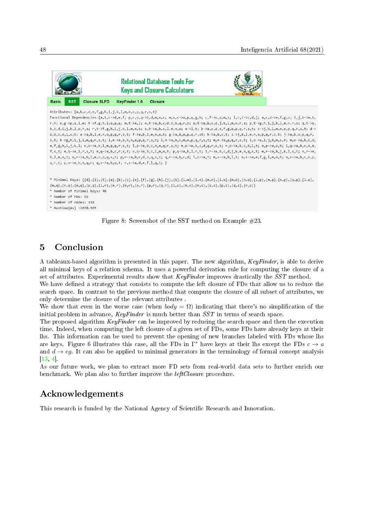<span id="page-11-0"></span>![](_page_11_Picture_1.jpeg)

Figure 8: Screenshot of the SST method on Example #23.

## 5 Conclusion

A tableaux-based algorithm is presented in this paper. The new algorithm, KeyFinder, is able to derive all minimal keys of a relation schema. It uses a powerful derivation rule for computing the closure of a set of attributes. Experimental results show that KeyFinder improves drastically the SST method.

We have defined a strategy that consists to compute the left closure of FDs that allow us to reduce the search space. In contrast to the previous method that compute the closure of all subset of attributes, we only determine the closure of the relevant attributes .

We show that even in the worse case (when  $body = \Omega$ ) indicating that there's no simplification of the initial problem in advance,  $KeuFinder$  is much better than  $SST$  in terms of search space.

The proposed algorithm KeyFinder can be improved by reducing the search space and then the execution time. Indeed, when computing the left closure of a given set of FDs, some FDs have already keys at their lhs. This information can be used to prevent the opening of new branches labeled with FDs whose lhs are keys. Figure [6](#page-9-0) illustrates this case, all the FDs in  $\Gamma^*$  have keys at their lhs except the FDs  $c \to a$ and  $d \rightarrow eg$ . It can also be applied to minimal generators in the terminology of formal concept analysis  $[13, 4]$  $[13, 4]$  $[13, 4]$ .

As our future work, we plan to extract more FD sets from real-world data sets to further enrich our benchmark. We plan also to further improve the *leftClosure* procedure.

## Acknowledgements

This research is funded by the National Agency of Scientific Research and Innovation.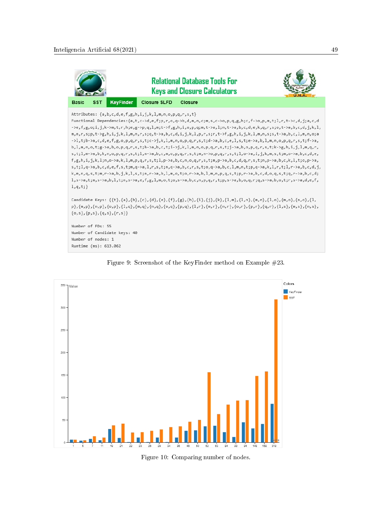<span id="page-12-0"></span>![](_page_12_Figure_1.jpeg)

![](_page_12_Figure_2.jpeg)

<span id="page-12-1"></span>![](_page_12_Figure_3.jpeg)

Figure 10: Comparing number of nodes.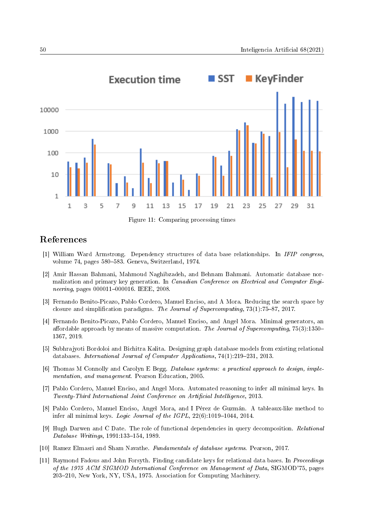<span id="page-13-10"></span>![](_page_13_Figure_1.jpeg)

Figure 11: Comparing processing times

## References

- <span id="page-13-6"></span>[1] William Ward Armstrong. Dependency structures of data base relationships. In IFIP congress, volume 74, pages 580–583. Geneva, Switzerland, 1974.
- <span id="page-13-1"></span>[2] Amir Hassan Bahmani, Mahmoud Naghibzadeh, and Behnam Bahmani. Automatic database normalization and primary key generation. In Canadian Conference on Electrical and Computer Engineering, pages 000011-000016. IEEE, 2008.
- <span id="page-13-5"></span>[3] Fernando Benito-Picazo, Pablo Cordero, Manuel Enciso, and A Mora. Reducing the search space by closure and simplification paradigms. The Journal of Supercomputing,  $73(1)$ :75-87, 2017.
- <span id="page-13-11"></span>[4] Fernando Benito-Picazo, Pablo Cordero, Manuel Enciso, and Angel Mora. Minimal generators, an affordable approach by means of massive computation. The Journal of Supercomputing,  $75(3):1350-$ 1367, 2019.
- <span id="page-13-2"></span>[5] Subhrajyoti Bordoloi and Bichitra Kalita. Designing graph database models from existing relational databases. International Journal of Computer Applications, 74(1):219-231, 2013.
- <span id="page-13-9"></span>[6] Thomas M Connolly and Carolyn E Begg. Database systems: a practical approach to design, implementation, and management. Pearson Education, 2005.
- <span id="page-13-3"></span>[7] Pablo Cordero, Manuel Enciso, and Angel Mora. Automated reasoning to infer all minimal keys. In Twenty-Third International Joint Conference on Artificial Intelligence, 2013.
- <span id="page-13-4"></span>[8] Pablo Cordero, Manuel Enciso, Angel Mora, and I Pérez de Guzmán. A tableaux-like method to infer all minimal keys. *Logic Journal of the IGPL*,  $22(6)$ :1019–1044, 2014.
- <span id="page-13-8"></span>[9] Hugh Darwen and C Date. The role of functional dependencies in query decomposition. Relational  $Database \; Writings, \, 1991:133–154, \, 1989.$
- <span id="page-13-0"></span>[10] Ramez Elmasri and Sham Navathe. Fundamentals of database systems. Pearson, 2017.
- <span id="page-13-7"></span>[11] Raymond Fadous and John Forsyth. Finding candidate keys for relational data bases. In Proceedings of the 1975 ACM SIGMOD International Conference on Management of Data, SIGMOD'75, pages 203-210, New York, NY, USA, 1975. Association for Computing Machinery.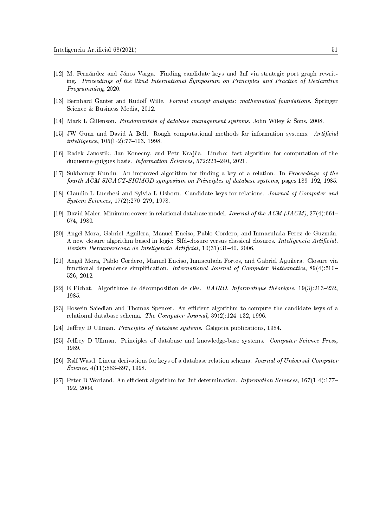- <span id="page-14-3"></span>[12] M. Fernández and János Varga. Finding candidate keys and 3nf via strategic port graph rewriting. Proceedings of the 22nd International Symposium on Principles and Practice of Declarative Programming, 2020.
- <span id="page-14-9"></span>[13] Bernhard Ganter and Rudolf Wille. Formal concept analysis: mathematical foundations. Springer Science & Business Media, 2012.
- <span id="page-14-15"></span>[14] Mark L Gillenson. Fundamentals of database management systems. John Wiley & Sons, 2008.
- <span id="page-14-5"></span>[15] JW Guan and David A Bell. Rough computational methods for information systems. Artificial  $intelligence, 105(1-2): 77-103, 1998.$
- <span id="page-14-10"></span>[16] Radek Janostik, Jan Konecny, and Petr Kraj£a. Lincbo: fast algorithm for computation of the duquenne-guigues basis. Information Sciences, 572:223-240, 2021.
- <span id="page-14-2"></span>[17] Sukhamay Kundu. An improved algorithm for finding a key of a relation. In Proceedings of the fourth ACM SIGACT-SIGMOD symposium on Principles of database systems, pages 189–192, 1985.
- <span id="page-14-0"></span>[18] Claudio L Lucchesi and Sylvia L Osborn. Candidate keys for relations. Journal of Computer and System Sciences, 17(2):270-279, 1978.
- <span id="page-14-11"></span>[19] David Maier. Minimum covers in relational database model. Journal of the ACM (JACM), 27(4):664 674, 1980.
- <span id="page-14-8"></span>[20] Angel Mora, Gabriel Aguilera, Manuel Enciso, Pablo Cordero, and Inmaculada Perez de Guzmán. A new closure algorithm based in logic: Slfd-closure versus classical closures. Inteligencia Artificial. Revista Iberoamericana de Inteligencia Artificial, 10(31):31-40, 2006.
- <span id="page-14-6"></span>[21] Angel Mora, Pablo Cordero, Manuel Enciso, Inmaculada Fortes, and Gabriel Aguilera. Closure via functional dependence simplification. International Journal of Computer Mathematics, 89(4):510– 526, 2012.
- <span id="page-14-13"></span>[22] E Pichat. Algorithme de décomposition de clés.  $RAIRO$ . Informatique théorique, 19(3):213-232, 1985.
- <span id="page-14-1"></span>[23] Hossein Saiedian and Thomas Spencer. An efficient algorithm to compute the candidate keys of a relational database schema. The Computer Journal,  $39(2)$ :124-132, 1996.
- <span id="page-14-7"></span>[24] Jeffrey D Ullman. *Principles of database systems*. Galgotia publications, 1984.
- <span id="page-14-12"></span>[25] Jeffrey D Ullman. Principles of database and knowledge-base systems. Computer Science Press, 1989.
- <span id="page-14-4"></span>[26] Ralf Wastl. Linear derivations for keys of a database relation schema. Journal of Universal Computer  $Science, 4(11):883-897, 1998.$
- <span id="page-14-14"></span>[27] Peter B Worland. An efficient algorithm for 3nf determination. *Information Sciences*, 167(1-4):177– 192, 2004.